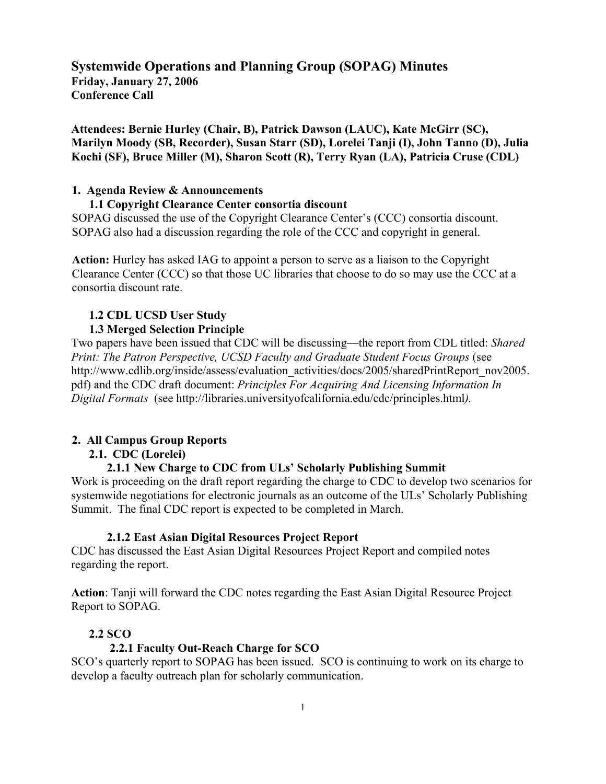**Systemwide Operations and Planning Group (SOPAG) Minutes Friday, January 27, 2006 Conference Call**

**Attendees: Bernie Hurley (Chair, B), Patrick Dawson (LAUC), Kate McGirr (SC), Marilyn Moody (SB, Recorder), Susan Starr (SD), Lorelei Tanji (I), John Tanno (D), Julia Kochi (SF), Bruce Miller (M), Sharon Scott (R), Terry Ryan (LA), Patricia Cruse (CDL)**

#### **1. Agenda Review & Announcements**

#### **1.1 Copyright Clearance Center consortia discount**

SOPAG discussed the use of the Copyright Clearance Center's (CCC) consortia discount. SOPAG also had a discussion regarding the role of the CCC and copyright in general.

**Action:** Hurley has asked IAG to appoint a person to serve as a liaison to the Copyright Clearance Center (CCC) so that those UC libraries that choose to do so may use the CCC at a consortia discount rate.

# **1.2 CDL UCSD User Study**

#### **1.3 Merged Selection Principle**

Two papers have been issued that CDC will be discussing—the report from CDL titled: *Shared Print: The Patron Perspective, UCSD Faculty and Graduate Student Focus Groups (see* http://www.cdlib.org/inside/assess/evaluation\_activities/docs/2005/sharedPrintReport\_nov2005. pdf) and the CDC draft document: *Principles For Acquiring And Licensing Information In Digital Formats* (see http://libraries.universityofcalifornia.edu/cdc/principles.html*).* 

#### **2. All Campus Group Reports**

#### **2.1. CDC (Lorelei)**

#### **2.1.1 New Charge to CDC from ULs' Scholarly Publishing Summit**

Work is proceeding on the draft report regarding the charge to CDC to develop two scenarios for systemwide negotiations for electronic journals as an outcome of the ULs' Scholarly Publishing Summit. The final CDC report is expected to be completed in March.

#### **2.1.2 East Asian Digital Resources Project Report**

CDC has discussed the East Asian Digital Resources Project Report and compiled notes regarding the report.

**Action**: Tanji will forward the CDC notes regarding the East Asian Digital Resource Project Report to SOPAG.

#### **2.2 SCO**

#### **2.2.1 Faculty Out-Reach Charge for SCO**

SCO's quarterly report to SOPAG has been issued. SCO is continuing to work on its charge to develop a faculty outreach plan for scholarly communication.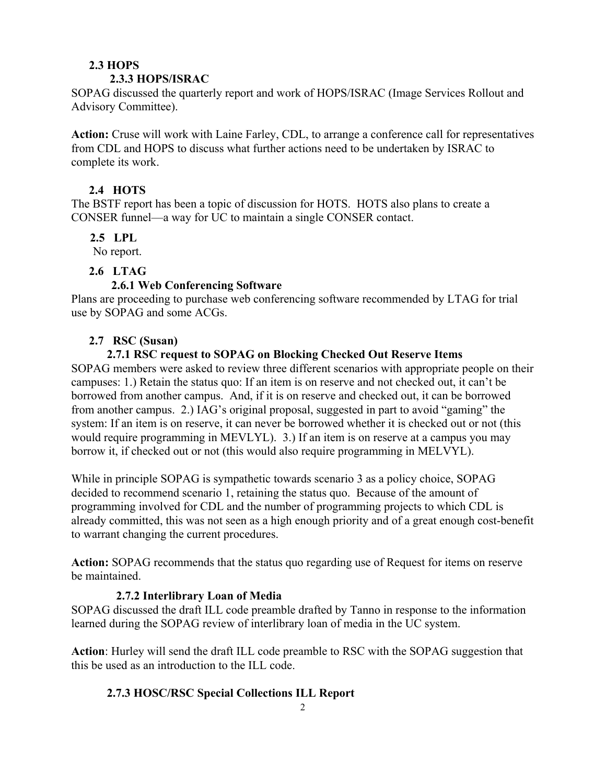### **2.3 HOPS**

#### **2.3.3 HOPS/ISRAC**

SOPAG discussed the quarterly report and work of HOPS/ISRAC (Image Services Rollout and Advisory Committee).

**Action:** Cruse will work with Laine Farley, CDL, to arrange a conference call for representatives from CDL and HOPS to discuss what further actions need to be undertaken by ISRAC to complete its work.

### **2.4 HOTS**

The BSTF report has been a topic of discussion for HOTS. HOTS also plans to create a CONSER funnel—a way for UC to maintain a single CONSER contact.

### **2.5 LPL**

No report.

## **2.6 LTAG**

## **2.6.1 Web Conferencing Software**

Plans are proceeding to purchase web conferencing software recommended by LTAG for trial use by SOPAG and some ACGs.

### **2.7 RSC (Susan)**

### **2.7.1 RSC request to SOPAG on Blocking Checked Out Reserve Items**

SOPAG members were asked to review three different scenarios with appropriate people on their campuses: 1.) Retain the status quo: If an item is on reserve and not checked out, it can't be borrowed from another campus. And, if it is on reserve and checked out, it can be borrowed from another campus. 2.) IAG's original proposal, suggested in part to avoid "gaming" the system: If an item is on reserve, it can never be borrowed whether it is checked out or not (this would require programming in MEVLYL). 3.) If an item is on reserve at a campus you may borrow it, if checked out or not (this would also require programming in MELVYL).

While in principle SOPAG is sympathetic towards scenario 3 as a policy choice, SOPAG decided to recommend scenario 1, retaining the status quo. Because of the amount of programming involved for CDL and the number of programming projects to which CDL is already committed, this was not seen as a high enough priority and of a great enough cost-benefit to warrant changing the current procedures.

**Action:** SOPAG recommends that the status quo regarding use of Request for items on reserve be maintained.

## **2.7.2 Interlibrary Loan of Media**

SOPAG discussed the draft ILL code preamble drafted by Tanno in response to the information learned during the SOPAG review of interlibrary loan of media in the UC system.

**Action**: Hurley will send the draft ILL code preamble to RSC with the SOPAG suggestion that this be used as an introduction to the ILL code.

## **2.7.3 HOSC/RSC Special Collections ILL Report**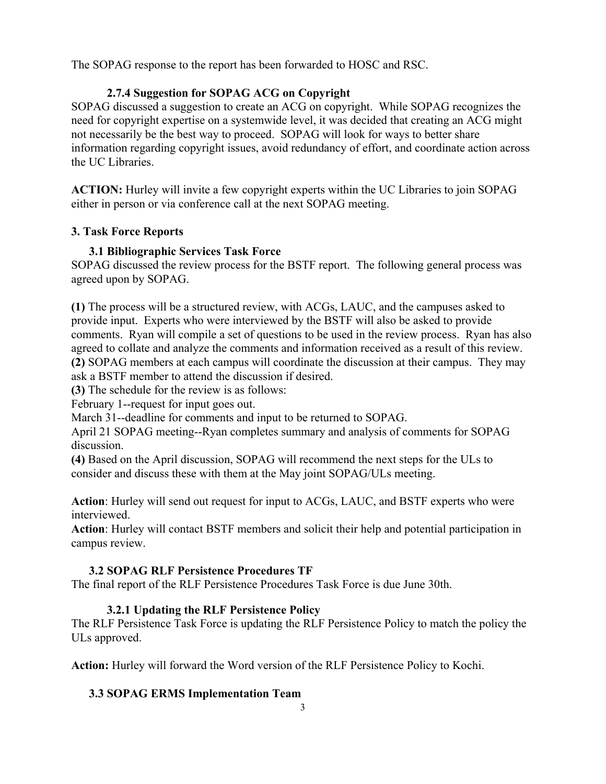The SOPAG response to the report has been forwarded to HOSC and RSC.

# **2.7.4 Suggestion for SOPAG ACG on Copyright**

SOPAG discussed a suggestion to create an ACG on copyright. While SOPAG recognizes the need for copyright expertise on a systemwide level, it was decided that creating an ACG might not necessarily be the best way to proceed. SOPAG will look for ways to better share information regarding copyright issues, avoid redundancy of effort, and coordinate action across the UC Libraries.

**ACTION:** Hurley will invite a few copyright experts within the UC Libraries to join SOPAG either in person or via conference call at the next SOPAG meeting.

## **3. Task Force Reports**

# **3.1 Bibliographic Services Task Force**

SOPAG discussed the review process for the BSTF report. The following general process was agreed upon by SOPAG.

**(1)** The process will be a structured review, with ACGs, LAUC, and the campuses asked to provide input. Experts who were interviewed by the BSTF will also be asked to provide comments. Ryan will compile a set of questions to be used in the review process. Ryan has also agreed to collate and analyze the comments and information received as a result of this review. **(2)** SOPAG members at each campus will coordinate the discussion at their campus. They may ask a BSTF member to attend the discussion if desired.

**(3)** The schedule for the review is as follows:

February 1--request for input goes out.

March 31--deadline for comments and input to be returned to SOPAG.

April 21 SOPAG meeting--Ryan completes summary and analysis of comments for SOPAG discussion.

**(4)** Based on the April discussion, SOPAG will recommend the next steps for the ULs to consider and discuss these with them at the May joint SOPAG/ULs meeting.

**Action**: Hurley will send out request for input to ACGs, LAUC, and BSTF experts who were interviewed.

**Action**: Hurley will contact BSTF members and solicit their help and potential participation in campus review.

## **3.2 SOPAG RLF Persistence Procedures TF**

The final report of the RLF Persistence Procedures Task Force is due June 30th.

# **3.2.1 Updating the RLF Persistence Policy**

The RLF Persistence Task Force is updating the RLF Persistence Policy to match the policy the ULs approved.

**Action:** Hurley will forward the Word version of the RLF Persistence Policy to Kochi.

# **3.3 SOPAG ERMS Implementation Team**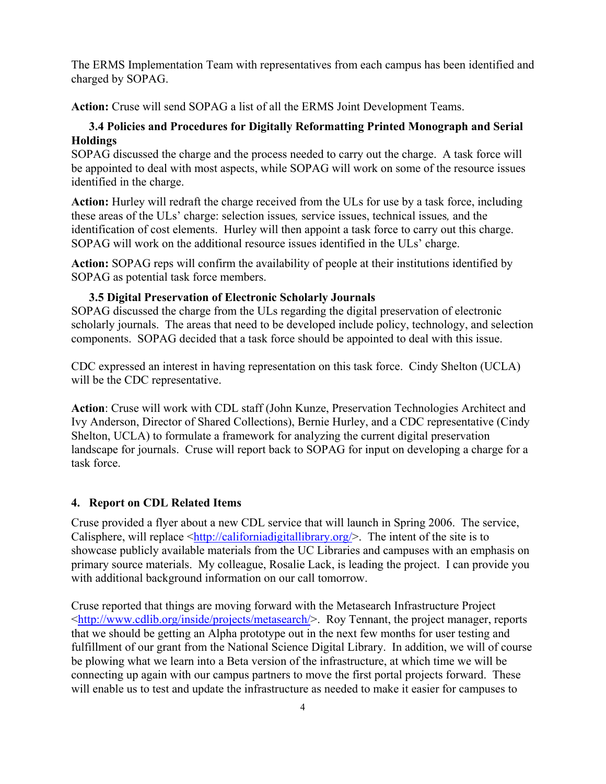The ERMS Implementation Team with representatives from each campus has been identified and charged by SOPAG.

**Action:** Cruse will send SOPAG a list of all the ERMS Joint Development Teams.

### **3.4 Policies and Procedures for Digitally Reformatting Printed Monograph and Serial Holdings**

SOPAG discussed the charge and the process needed to carry out the charge. A task force will be appointed to deal with most aspects, while SOPAG will work on some of the resource issues identified in the charge.

**Action:** Hurley will redraft the charge received from the ULs for use by a task force, including these areas of the ULs' charge: selection issues*,* service issues, technical issues*,* and the identification of cost elements. Hurley will then appoint a task force to carry out this charge. SOPAG will work on the additional resource issues identified in the ULs' charge.

**Action:** SOPAG reps will confirm the availability of people at their institutions identified by SOPAG as potential task force members.

#### **3.5 Digital Preservation of Electronic Scholarly Journals**

SOPAG discussed the charge from the ULs regarding the digital preservation of electronic scholarly journals. The areas that need to be developed include policy, technology, and selection components. SOPAG decided that a task force should be appointed to deal with this issue.

CDC expressed an interest in having representation on this task force. Cindy Shelton (UCLA) will be the CDC representative.

**Action**: Cruse will work with CDL staff (John Kunze, Preservation Technologies Architect and Ivy Anderson, Director of Shared Collections), Bernie Hurley, and a CDC representative (Cindy Shelton, UCLA) to formulate a framework for analyzing the current digital preservation landscape for journals. Cruse will report back to SOPAG for input on developing a charge for a task force.

#### **4. Report on CDL Related Items**

Cruse provided a flyer about a new CDL service that will launch in Spring 2006. The service, Calisphere, will replace  $\frac{\text{http://californiadigitallibrary.org/}}{\text{http://californiadigitallibrary.org/}}$ . The intent of the site is to showcase publicly available materials from the UC Libraries and campuses with an emphasis on primary source materials. My colleague, Rosalie Lack, is leading the project. I can provide you with additional background information on our call tomorrow.

Cruse reported that things are moving forward with the Metasearch Infrastructure Project <http://www.cdlib.org/inside/projects/metasearch/>. Roy Tennant, the project manager, reports that we should be getting an Alpha prototype out in the next few months for user testing and fulfillment of our grant from the National Science Digital Library. In addition, we will of course be plowing what we learn into a Beta version of the infrastructure, at which time we will be connecting up again with our campus partners to move the first portal projects forward. These will enable us to test and update the infrastructure as needed to make it easier for campuses to